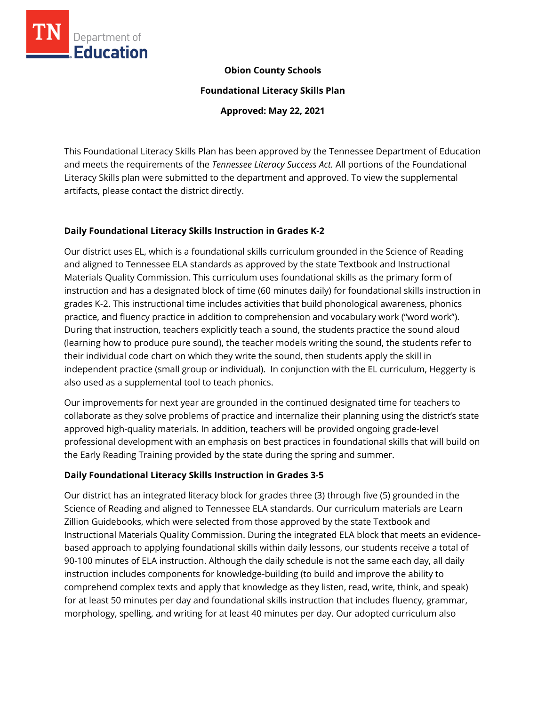

#### **Obion County Schools**

**Foundational Literacy Skills Plan**

**Approved: May 22, 2021**

This Foundational Literacy Skills Plan has been approved by the Tennessee Department of Education and meets the requirements of the *Tennessee Literacy Success Act.* All portions of the Foundational Literacy Skills plan were submitted to the department and approved. To view the supplemental artifacts, please contact the district directly.

## **Daily Foundational Literacy Skills Instruction in Grades K-2**

Our district uses EL, which is a foundational skills curriculum grounded in the Science of Reading and aligned to Tennessee ELA standards as approved by the state Textbook and Instructional Materials Quality Commission. This curriculum uses foundational skills as the primary form of instruction and has a designated block of time (60 minutes daily) for foundational skills instruction in grades K-2. This instructional time includes activities that build phonological awareness, phonics practice, and fluency practice in addition to comprehension and vocabulary work ("word work"). During that instruction, teachers explicitly teach a sound, the students practice the sound aloud (learning how to produce pure sound), the teacher models writing the sound, the students refer to their individual code chart on which they write the sound, then students apply the skill in independent practice (small group or individual). In conjunction with the EL curriculum, Heggerty is also used as a supplemental tool to teach phonics.

Our improvements for next year are grounded in the continued designated time for teachers to collaborate as they solve problems of practice and internalize their planning using the district's state approved high-quality materials. In addition, teachers will be provided ongoing grade-level professional development with an emphasis on best practices in foundational skills that will build on the Early Reading Training provided by the state during the spring and summer.

# **Daily Foundational Literacy Skills Instruction in Grades 3-5**

Our district has an integrated literacy block for grades three (3) through five (5) grounded in the Science of Reading and aligned to Tennessee ELA standards. Our curriculum materials are Learn Zillion Guidebooks, which were selected from those approved by the state Textbook and Instructional Materials Quality Commission. During the integrated ELA block that meets an evidencebased approach to applying foundational skills within daily lessons, our students receive a total of 90-100 minutes of ELA instruction. Although the daily schedule is not the same each day, all daily instruction includes components for knowledge-building (to build and improve the ability to comprehend complex texts and apply that knowledge as they listen, read, write, think, and speak) for at least 50 minutes per day and foundational skills instruction that includes fluency, grammar, morphology, spelling, and writing for at least 40 minutes per day. Our adopted curriculum also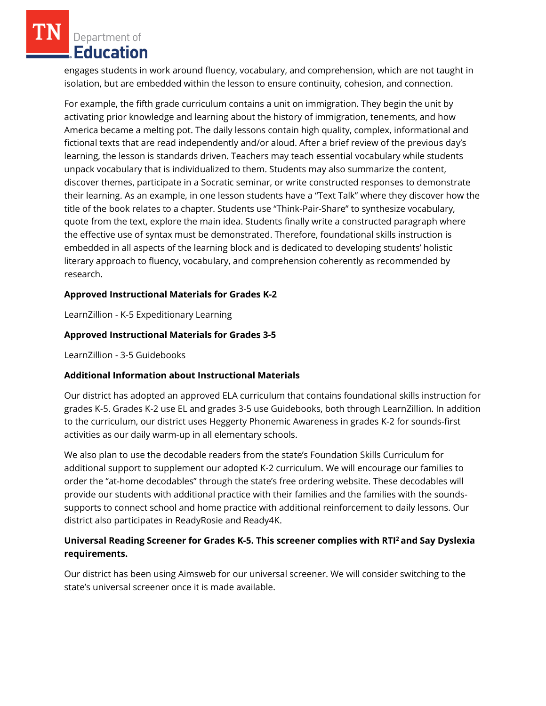Department of Education

engages students in work around fluency, vocabulary, and comprehension, which are not taught in isolation, but are embedded within the lesson to ensure continuity, cohesion, and connection.

For example, the fifth grade curriculum contains a unit on immigration. They begin the unit by activating prior knowledge and learning about the history of immigration, tenements, and how America became a melting pot. The daily lessons contain high quality, complex, informational and fictional texts that are read independently and/or aloud. After a brief review of the previous day's learning, the lesson is standards driven. Teachers may teach essential vocabulary while students unpack vocabulary that is individualized to them. Students may also summarize the content, discover themes, participate in a Socratic seminar, or write constructed responses to demonstrate their learning. As an example, in one lesson students have a "Text Talk" where they discover how the title of the book relates to a chapter. Students use "Think-Pair-Share" to synthesize vocabulary, quote from the text, explore the main idea. Students finally write a constructed paragraph where the effective use of syntax must be demonstrated. Therefore, foundational skills instruction is embedded in all aspects of the learning block and is dedicated to developing students' holistic literary approach to fluency, vocabulary, and comprehension coherently as recommended by research.

# **Approved Instructional Materials for Grades K-2**

LearnZillion - K-5 Expeditionary Learning

## **Approved Instructional Materials for Grades 3-5**

LearnZillion - 3-5 Guidebooks

# **Additional Information about Instructional Materials**

Our district has adopted an approved ELA curriculum that contains foundational skills instruction for grades K-5. Grades K-2 use EL and grades 3-5 use Guidebooks, both through LearnZillion. In addition to the curriculum, our district uses Heggerty Phonemic Awareness in grades K-2 for sounds-first activities as our daily warm-up in all elementary schools.

We also plan to use the decodable readers from the state's Foundation Skills Curriculum for additional support to supplement our adopted K-2 curriculum. We will encourage our families to order the "at-home decodables" through the state's free ordering website. These decodables will provide our students with additional practice with their families and the families with the soundssupports to connect school and home practice with additional reinforcement to daily lessons. Our district also participates in ReadyRosie and Ready4K.

## **Universal Reading Screener for Grades K-5. This screener complies with RTI<sup>2</sup>and Say Dyslexia requirements.**

Our district has been using Aimsweb for our universal screener. We will consider switching to the state's universal screener once it is made available.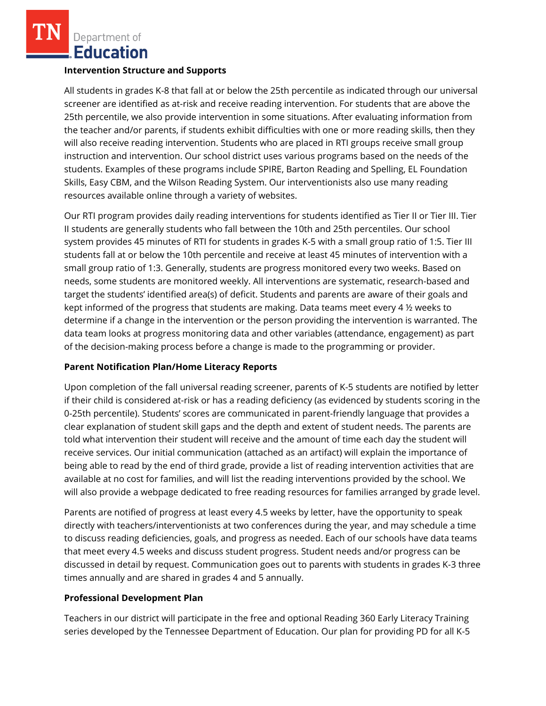Department of Education

#### **Intervention Structure and Supports**

All students in grades K-8 that fall at or below the 25th percentile as indicated through our universal screener are identified as at-risk and receive reading intervention. For students that are above the 25th percentile, we also provide intervention in some situations. After evaluating information from the teacher and/or parents, if students exhibit difficulties with one or more reading skills, then they will also receive reading intervention. Students who are placed in RTI groups receive small group instruction and intervention. Our school district uses various programs based on the needs of the students. Examples of these programs include SPIRE, Barton Reading and Spelling, EL Foundation Skills, Easy CBM, and the Wilson Reading System. Our interventionists also use many reading resources available online through a variety of websites.

Our RTI program provides daily reading interventions for students identified as Tier II or Tier III. Tier II students are generally students who fall between the 10th and 25th percentiles. Our school system provides 45 minutes of RTI for students in grades K-5 with a small group ratio of 1:5. Tier III students fall at or below the 10th percentile and receive at least 45 minutes of intervention with a small group ratio of 1:3. Generally, students are progress monitored every two weeks. Based on needs, some students are monitored weekly. All interventions are systematic, research-based and target the students' identified area(s) of deficit. Students and parents are aware of their goals and kept informed of the progress that students are making. Data teams meet every 4 ½ weeks to determine if a change in the intervention or the person providing the intervention is warranted. The data team looks at progress monitoring data and other variables (attendance, engagement) as part of the decision-making process before a change is made to the programming or provider.

#### **Parent Notification Plan/Home Literacy Reports**

Upon completion of the fall universal reading screener, parents of K-5 students are notified by letter if their child is considered at-risk or has a reading deficiency (as evidenced by students scoring in the 0-25th percentile). Students' scores are communicated in parent-friendly language that provides a clear explanation of student skill gaps and the depth and extent of student needs. The parents are told what intervention their student will receive and the amount of time each day the student will receive services. Our initial communication (attached as an artifact) will explain the importance of being able to read by the end of third grade, provide a list of reading intervention activities that are available at no cost for families, and will list the reading interventions provided by the school. We will also provide a webpage dedicated to free reading resources for families arranged by grade level.

Parents are notified of progress at least every 4.5 weeks by letter, have the opportunity to speak directly with teachers/interventionists at two conferences during the year, and may schedule a time to discuss reading deficiencies, goals, and progress as needed. Each of our schools have data teams that meet every 4.5 weeks and discuss student progress. Student needs and/or progress can be discussed in detail by request. Communication goes out to parents with students in grades K-3 three times annually and are shared in grades 4 and 5 annually.

# **Professional Development Plan**

Teachers in our district will participate in the free and optional Reading 360 Early Literacy Training series developed by the Tennessee Department of Education. Our plan for providing PD for all K-5